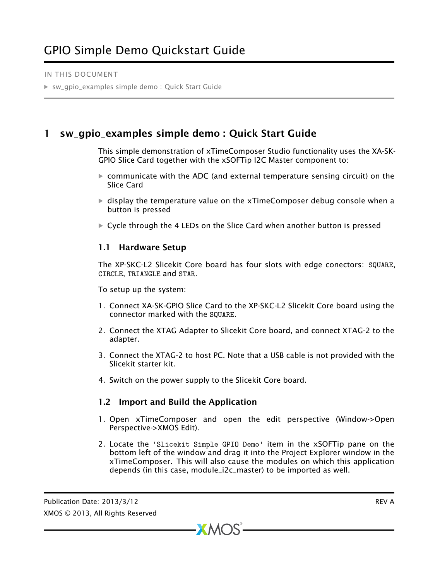#### IN THIS DOCUMENT

· [sw\\_gpio\\_examples simple demo : Quick Start Guide](#page-0-0)

# 1 sw\_gpio\_examples simple demo : Quick Start Guide

<span id="page-0-0"></span>This simple demonstration of xTimeComposer Studio functionality uses the XA-SK-GPIO Slice Card together with the xSOFTip I2C Master component to:

- $\triangleright$  communicate with the ADC (and external temperature sensing circuit) on the Slice Card
- $\triangleright$  display the temperature value on the xTimeComposer debug console when a button is pressed
- $\triangleright$  Cycle through the 4 LEDs on the Slice Card when another button is pressed

### 1.1 Hardware Setup

The XP-SKC-L2 Slicekit Core board has four slots with edge conectors: SQUARE, CIRCLE, TRIANGLE and STAR.

To setup up the system:

- 1. Connect XA-SK-GPIO Slice Card to the XP-SKC-L2 Slicekit Core board using the connector marked with the SQUARE.
- 2. Connect the XTAG Adapter to Slicekit Core board, and connect XTAG-2 to the adapter.
- 3. Connect the XTAG-2 to host PC. Note that a USB cable is not provided with the Slicekit starter kit.
- 4. Switch on the power supply to the Slicekit Core board.

### 1.2 Import and Build the Application

- 1. Open xTimeComposer and open the edit perspective (Window->Open Perspective->XMOS Edit).
- 2. Locate the 'Slicekit Simple GPIO Demo' item in the xSOFTip pane on the bottom left of the window and drag it into the Project Explorer window in the xTimeComposer. This will also cause the modules on which this application depends (in this case, module\_i2c\_master) to be imported as well.

 $XMOS$ 

Publication Date: 2013/3/12 REV A XMOS © 2013, All Rights Reserved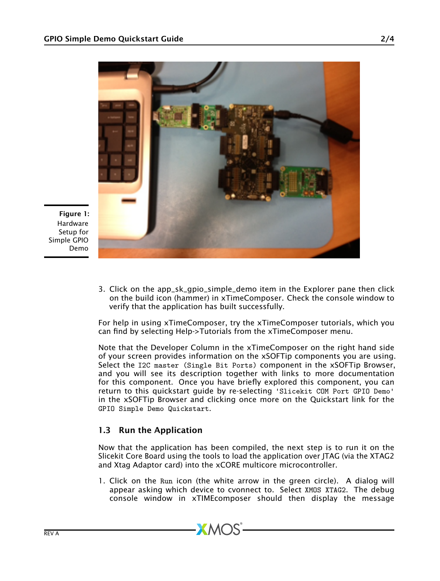

Figure 1: Hardware Setup for Simple GPIO Demo

> 3. Click on the app\_sk\_gpio\_simple\_demo item in the Explorer pane then click on the build icon (hammer) in xTimeComposer. Check the console window to verify that the application has built successfully.

> For help in using xTimeComposer, try the xTimeComposer tutorials, which you can find by selecting Help->Tutorials from the xTimeComposer menu.

> Note that the Developer Column in the xTimeComposer on the right hand side of your screen provides information on the xSOFTip components you are using. Select the I2C master (Single Bit Ports) component in the xSOFTip Browser, and you will see its description together with links to more documentation for this component. Once you have briefly explored this component, you can return to this quickstart guide by re-selecting 'Slicekit COM Port GPIO Demo' in the xSOFTip Browser and clicking once more on the Quickstart link for the GPIO Simple Demo Quickstart.

## 1.3 Run the Application

Now that the application has been compiled, the next step is to run it on the Slicekit Core Board using the tools to load the application over JTAG (via the XTAG2 and Xtag Adaptor card) into the xCORE multicore microcontroller.

1. Click on the Run icon (the white arrow in the green circle). A dialog will appear asking which device to cvonnect to. Select XMOS XTAG2. The debug console window in xTIMEcomposer should then display the message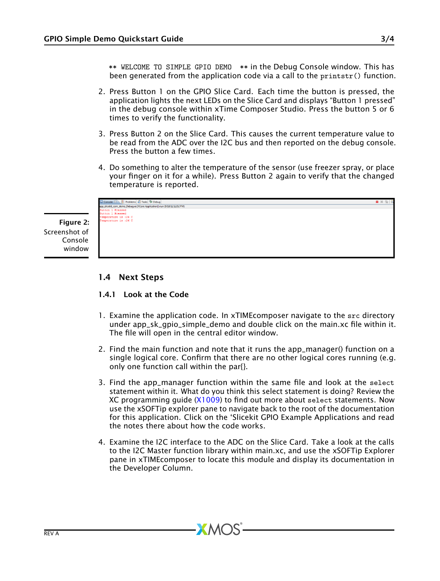\*\* WELCOME TO SIMPLE GPIO DEMO \*\* in the Debug Console window. This has been generated from the application code via a call to the printstr() function.

- 2. Press Button 1 on the GPIO Slice Card. Each time the button is pressed, the application lights the next LEDs on the Slice Card and displays "Button 1 pressed" in the debug console within xTime Composer Studio. Press the button 5 or 6 times to verify the functionality.
- 3. Press Button 2 on the Slice Card. This causes the current temperature value to be read from the ADC over the I2C bus and then reported on the debug console. Press the button a few times.
- 4. Do something to alter the temperature of the sensor (use freezer spray, or place your finger on it for a while). Press Button 2 again to verify that the changed temperature is reported.

|                               | Console 8 Problems Tasks Debug                                             | ■ × 後 |
|-------------------------------|----------------------------------------------------------------------------|-------|
|                               | app_slicekit_com_demo_Debuq.xe [XCore Application] xrun (9/18/12 12:52 PM) |       |
|                               | <b>Button 1 Pressed</b>                                                    |       |
|                               | Button 1 Pressed                                                           |       |
|                               | Temperature is :26 C                                                       |       |
| <b>Figure 2:</b><br>enshot of | Temperature is :26 C                                                       |       |
|                               |                                                                            |       |
| Console<br>window             |                                                                            |       |
|                               |                                                                            |       |

## 1.4 Next Steps

### 1.4.1 Look at the Code

- 1. Examine the application code. In xTIMEcomposer navigate to the src directory under app\_sk\_gpio\_simple\_demo and double click on the main.xc file within it. The file will open in the central editor window.
- 2. Find the main function and note that it runs the app\_manager() function on a single logical core. Confirm that there are no other logical cores running (e.g. only one function call within the par{}.
- 3. Find the app\_manager function within the same file and look at the select statement within it. What do you think this select statement is doing? Review the XC programming guide [\(X1009\)](http://www.xmos.com/docnum/X1009:/page1#prog-xc-responding-to-multiple-inputs) to find out more about select statements. Now use the xSOFTip explorer pane to navigate back to the root of the documentation for this application. Click on the 'Slicekit GPIO Example Applications and read the notes there about how the code works.
- 4. Examine the I2C interface to the ADC on the Slice Card. Take a look at the calls to the I2C Master function library within main.xc, and use the xSOFTip Explorer pane in xTIMEcomposer to locate this module and display its documentation in the Developer Column.

 $XMOS$ 

Screenshot